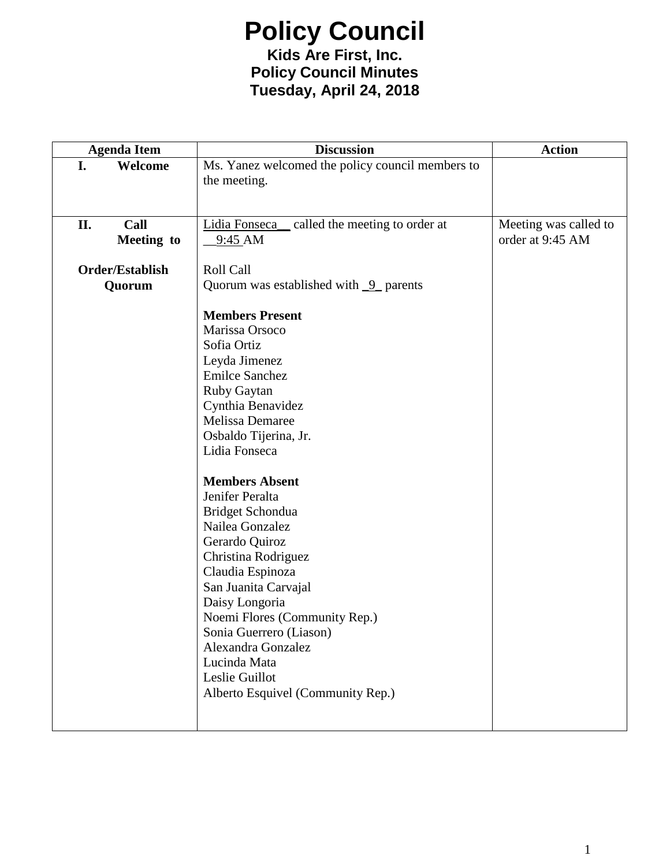**Kids Are First, Inc. Policy Council Minutes Tuesday, April 24, 2018**

| <b>Agenda Item</b> | <b>Discussion</b>                                | <b>Action</b>         |
|--------------------|--------------------------------------------------|-----------------------|
| I.<br>Welcome      | Ms. Yanez welcomed the policy council members to |                       |
|                    | the meeting.                                     |                       |
|                    |                                                  |                       |
|                    |                                                  |                       |
| Call<br>II.        | Lidia Fonseca_ called the meeting to order at    | Meeting was called to |
| Meeting to         | 9:45 AM                                          | order at 9:45 AM      |
| Order/Establish    | Roll Call                                        |                       |
| Quorum             | Quorum was established with $9$ parents          |                       |
|                    |                                                  |                       |
|                    | <b>Members Present</b>                           |                       |
|                    | Marissa Orsoco                                   |                       |
|                    | Sofia Ortiz                                      |                       |
|                    | Leyda Jimenez                                    |                       |
|                    | <b>Emilce Sanchez</b>                            |                       |
|                    | Ruby Gaytan                                      |                       |
|                    | Cynthia Benavidez                                |                       |
|                    | Melissa Demaree                                  |                       |
|                    | Osbaldo Tijerina, Jr.                            |                       |
|                    | Lidia Fonseca                                    |                       |
|                    | <b>Members Absent</b>                            |                       |
|                    | Jenifer Peralta                                  |                       |
|                    | Bridget Schondua                                 |                       |
|                    | Nailea Gonzalez                                  |                       |
|                    | Gerardo Quiroz                                   |                       |
|                    | Christina Rodriguez                              |                       |
|                    | Claudia Espinoza                                 |                       |
|                    | San Juanita Carvajal                             |                       |
|                    | Daisy Longoria                                   |                       |
|                    | Noemi Flores (Community Rep.)                    |                       |
|                    | Sonia Guerrero (Liason)                          |                       |
|                    | Alexandra Gonzalez                               |                       |
|                    | Lucinda Mata                                     |                       |
|                    | Leslie Guillot                                   |                       |
|                    | Alberto Esquivel (Community Rep.)                |                       |
|                    |                                                  |                       |
|                    |                                                  |                       |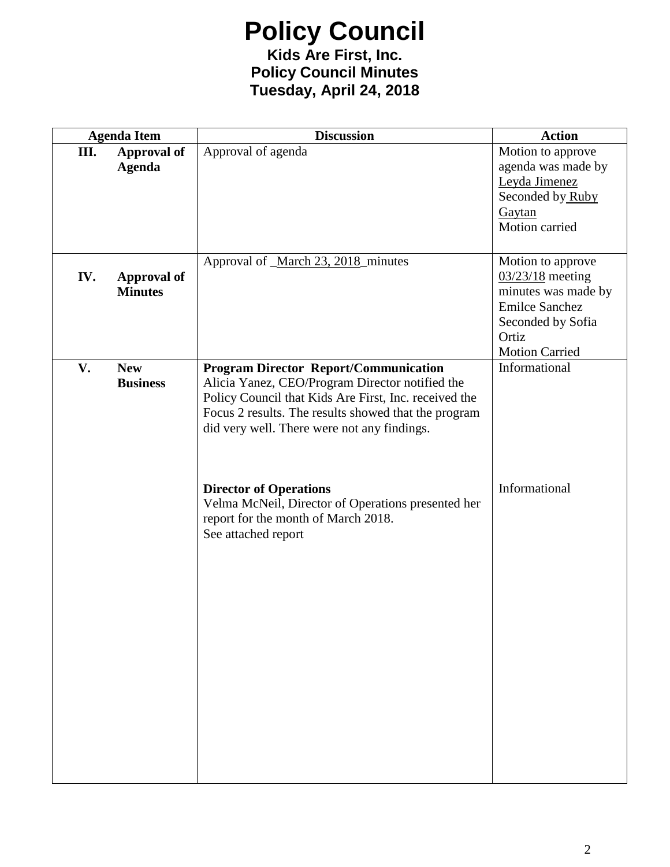#### **Kids Are First, Inc. Policy Council Minutes Tuesday, April 24, 2018**

| Motion to approve<br>agenda was made by                                             |
|-------------------------------------------------------------------------------------|
| Seconded by Ruby                                                                    |
| Motion to approve<br>$03/23/18$ meeting<br>minutes was made by<br>Seconded by Sofia |
|                                                                                     |
|                                                                                     |
|                                                                                     |
|                                                                                     |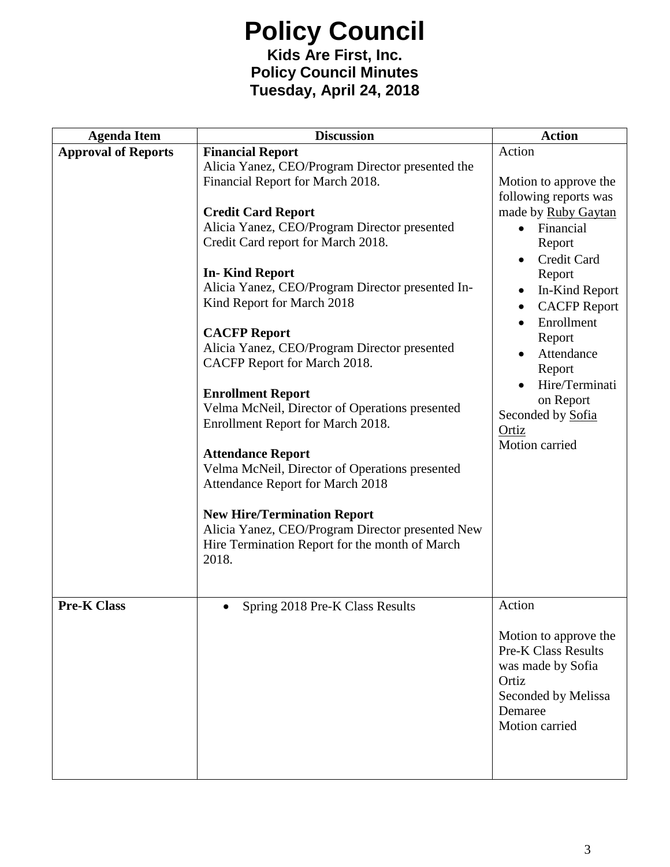#### **Kids Are First, Inc. Policy Council Minutes Tuesday, April 24, 2018**

| <b>Agenda Item</b>         | <b>Discussion</b>                                | <b>Action</b>                    |
|----------------------------|--------------------------------------------------|----------------------------------|
| <b>Approval of Reports</b> | <b>Financial Report</b>                          | Action                           |
|                            | Alicia Yanez, CEO/Program Director presented the |                                  |
|                            | Financial Report for March 2018.                 | Motion to approve the            |
|                            |                                                  | following reports was            |
|                            | <b>Credit Card Report</b>                        | made by Ruby Gaytan              |
|                            | Alicia Yanez, CEO/Program Director presented     | Financial                        |
|                            | Credit Card report for March 2018.               | Report                           |
|                            |                                                  | Credit Card                      |
|                            | <b>In-Kind Report</b>                            | Report                           |
|                            | Alicia Yanez, CEO/Program Director presented In- | In-Kind Report<br>$\bullet$      |
|                            | Kind Report for March 2018                       | <b>CACFP Report</b><br>$\bullet$ |
|                            |                                                  | Enrollment                       |
|                            | <b>CACFP Report</b>                              | Report                           |
|                            | Alicia Yanez, CEO/Program Director presented     | Attendance                       |
|                            | CACFP Report for March 2018.                     | Report                           |
|                            |                                                  | Hire/Terminati                   |
|                            | <b>Enrollment Report</b>                         | on Report                        |
|                            | Velma McNeil, Director of Operations presented   | Seconded by Sofia                |
|                            | Enrollment Report for March 2018.                | Ortiz                            |
|                            |                                                  | Motion carried                   |
|                            | <b>Attendance Report</b>                         |                                  |
|                            | Velma McNeil, Director of Operations presented   |                                  |
|                            | Attendance Report for March 2018                 |                                  |
|                            |                                                  |                                  |
|                            | <b>New Hire/Termination Report</b>               |                                  |
|                            | Alicia Yanez, CEO/Program Director presented New |                                  |
|                            | Hire Termination Report for the month of March   |                                  |
|                            | 2018.                                            |                                  |
|                            |                                                  |                                  |
| <b>Pre-K Class</b>         |                                                  | Action                           |
|                            | Spring 2018 Pre-K Class Results<br>$\bullet$     |                                  |
|                            |                                                  | Motion to approve the            |
|                            |                                                  | <b>Pre-K Class Results</b>       |
|                            |                                                  | was made by Sofia                |
|                            |                                                  | Ortiz                            |
|                            |                                                  | Seconded by Melissa              |
|                            |                                                  | Demaree                          |
|                            |                                                  | Motion carried                   |
|                            |                                                  |                                  |
|                            |                                                  |                                  |
|                            |                                                  |                                  |